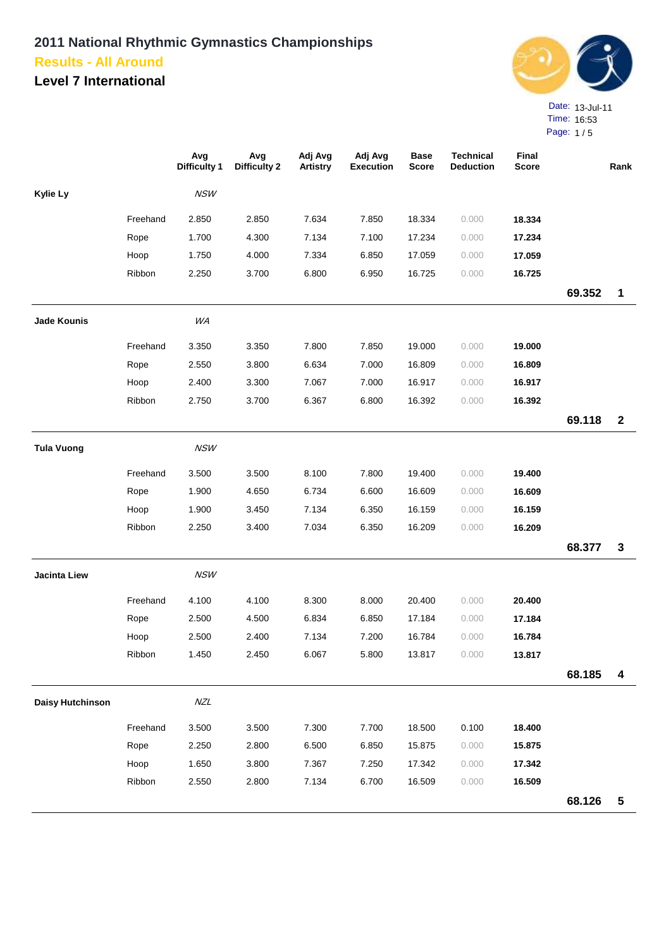**Level 7 International**



Page: 1 / 5

|                         |          | Avg<br><b>Difficulty 1</b> | Avg<br><b>Difficulty 2</b> | Adj Avg<br>Artistry | Adj Avg<br><b>Execution</b> | <b>Base</b><br>Score | <b>Technical</b><br><b>Deduction</b> | Final<br><b>Score</b> |        | Rank                    |
|-------------------------|----------|----------------------------|----------------------------|---------------------|-----------------------------|----------------------|--------------------------------------|-----------------------|--------|-------------------------|
| Kylie Ly                |          | <b>NSW</b>                 |                            |                     |                             |                      |                                      |                       |        |                         |
|                         | Freehand | 2.850                      | 2.850                      | 7.634               | 7.850                       | 18.334               | 0.000                                | 18.334                |        |                         |
|                         | Rope     | 1.700                      | 4.300                      | 7.134               | 7.100                       | 17.234               | 0.000                                | 17.234                |        |                         |
|                         | Hoop     | 1.750                      | 4.000                      | 7.334               | 6.850                       | 17.059               | 0.000                                | 17.059                |        |                         |
|                         | Ribbon   | 2.250                      | 3.700                      | 6.800               | 6.950                       | 16.725               | 0.000                                | 16.725                |        |                         |
|                         |          |                            |                            |                     |                             |                      |                                      |                       | 69.352 | $\mathbf 1$             |
| <b>Jade Kounis</b>      |          | WA                         |                            |                     |                             |                      |                                      |                       |        |                         |
|                         | Freehand | 3.350                      | 3.350                      | 7.800               | 7.850                       | 19.000               | 0.000                                | 19.000                |        |                         |
|                         | Rope     | 2.550                      | 3.800                      | 6.634               | 7.000                       | 16.809               | 0.000                                | 16.809                |        |                         |
|                         | Hoop     | 2.400                      | 3.300                      | 7.067               | 7.000                       | 16.917               | 0.000                                | 16.917                |        |                         |
|                         | Ribbon   | 2.750                      | 3.700                      | 6.367               | 6.800                       | 16.392               | 0.000                                | 16.392                |        |                         |
|                         |          |                            |                            |                     |                             |                      |                                      |                       | 69.118 | $\mathbf{2}$            |
| <b>Tula Vuong</b>       |          | <b>NSW</b>                 |                            |                     |                             |                      |                                      |                       |        |                         |
|                         | Freehand | 3.500                      | 3.500                      | 8.100               | 7.800                       | 19.400               | 0.000                                | 19.400                |        |                         |
|                         | Rope     | 1.900                      | 4.650                      | 6.734               | 6.600                       | 16.609               | 0.000                                | 16.609                |        |                         |
|                         | Hoop     | 1.900                      | 3.450                      | 7.134               | 6.350                       | 16.159               | 0.000                                | 16.159                |        |                         |
|                         | Ribbon   | 2.250                      | 3.400                      | 7.034               | 6.350                       | 16.209               | 0.000                                | 16.209                |        |                         |
|                         |          |                            |                            |                     |                             |                      |                                      |                       | 68.377 | $\mathbf{3}$            |
| <b>Jacinta Liew</b>     |          | <b>NSW</b>                 |                            |                     |                             |                      |                                      |                       |        |                         |
|                         | Freehand | 4.100                      | 4.100                      | 8.300               | 8.000                       | 20.400               | 0.000                                | 20.400                |        |                         |
|                         | Rope     | 2.500                      | 4.500                      | 6.834               | 6.850                       | 17.184               | 0.000                                | 17.184                |        |                         |
|                         | Hoop     | 2.500                      | 2.400                      | 7.134               | 7.200                       | 16.784               | 0.000                                | 16.784                |        |                         |
|                         | Ribbon   | 1.450                      | 2.450                      | 6.067               | 5.800                       | 13.817               | 0.000                                | 13.817                |        |                         |
|                         |          |                            |                            |                     |                             |                      |                                      |                       | 68.185 | $\boldsymbol{4}$        |
| <b>Daisy Hutchinson</b> |          | NZL                        |                            |                     |                             |                      |                                      |                       |        |                         |
|                         | Freehand | 3.500                      | 3.500                      | 7.300               | 7.700                       | 18.500               | 0.100                                | 18.400                |        |                         |
|                         | Rope     | 2.250                      | 2.800                      | 6.500               | 6.850                       | 15.875               | 0.000                                | 15.875                |        |                         |
|                         | Hoop     | 1.650                      | 3.800                      | 7.367               | 7.250                       | 17.342               | 0.000                                | 17.342                |        |                         |
|                         | Ribbon   | 2.550                      | 2.800                      | 7.134               | 6.700                       | 16.509               | 0.000                                | 16.509                |        |                         |
|                         |          |                            |                            |                     |                             |                      |                                      |                       | 68.126 | $\overline{\mathbf{5}}$ |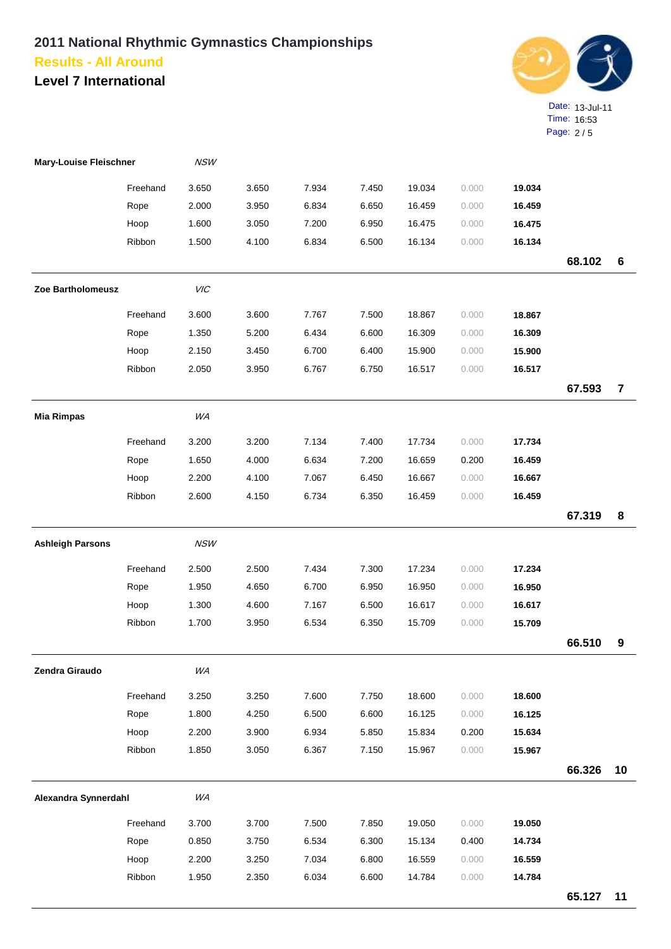

| <b>Mary-Louise Fleischner</b> |          | <b>NSW</b> |       |       |       |        |       |        |        |                         |
|-------------------------------|----------|------------|-------|-------|-------|--------|-------|--------|--------|-------------------------|
|                               | Freehand | 3.650      | 3.650 | 7.934 | 7.450 | 19.034 | 0.000 | 19.034 |        |                         |
|                               | Rope     | 2.000      | 3.950 | 6.834 | 6.650 | 16.459 | 0.000 | 16.459 |        |                         |
|                               | Hoop     | 1.600      | 3.050 | 7.200 | 6.950 | 16.475 | 0.000 | 16.475 |        |                         |
|                               | Ribbon   | 1.500      | 4.100 | 6.834 | 6.500 | 16.134 | 0.000 | 16.134 |        |                         |
|                               |          |            |       |       |       |        |       |        | 68.102 | 6                       |
| Zoe Bartholomeusz             |          | VIC        |       |       |       |        |       |        |        |                         |
|                               | Freehand | 3.600      | 3.600 | 7.767 | 7.500 | 18.867 | 0.000 | 18.867 |        |                         |
|                               | Rope     | 1.350      | 5.200 | 6.434 | 6.600 | 16.309 | 0.000 | 16.309 |        |                         |
|                               | Hoop     | 2.150      | 3.450 | 6.700 | 6.400 | 15.900 | 0.000 | 15.900 |        |                         |
|                               | Ribbon   | 2.050      | 3.950 | 6.767 | 6.750 | 16.517 | 0.000 | 16.517 |        |                         |
|                               |          |            |       |       |       |        |       |        | 67.593 | $\overline{\mathbf{r}}$ |
| <b>Mia Rimpas</b>             |          | WA         |       |       |       |        |       |        |        |                         |
|                               | Freehand | 3.200      | 3.200 | 7.134 | 7.400 | 17.734 | 0.000 | 17.734 |        |                         |
|                               | Rope     | 1.650      | 4.000 | 6.634 | 7.200 | 16.659 | 0.200 | 16.459 |        |                         |
|                               | Hoop     | 2.200      | 4.100 | 7.067 | 6.450 | 16.667 | 0.000 | 16.667 |        |                         |
|                               | Ribbon   | 2.600      | 4.150 | 6.734 | 6.350 | 16.459 | 0.000 | 16.459 |        |                         |
|                               |          |            |       |       |       |        |       |        | 67.319 | 8                       |
| <b>Ashleigh Parsons</b>       |          | <b>NSW</b> |       |       |       |        |       |        |        |                         |
|                               | Freehand | 2.500      | 2.500 | 7.434 | 7.300 | 17.234 | 0.000 | 17.234 |        |                         |
|                               | Rope     | 1.950      | 4.650 | 6.700 | 6.950 | 16.950 | 0.000 | 16.950 |        |                         |
|                               | Hoop     | 1.300      | 4.600 | 7.167 | 6.500 | 16.617 | 0.000 | 16.617 |        |                         |
|                               | Ribbon   | 1.700      | 3.950 | 6.534 | 6.350 | 15.709 | 0.000 | 15.709 |        |                         |
|                               |          |            |       |       |       |        |       |        | 66.510 | 9                       |
| Zendra Giraudo                |          | WA         |       |       |       |        |       |        |        |                         |
|                               | Freehand | 3.250      | 3.250 | 7.600 | 7.750 | 18.600 | 0.000 | 18.600 |        |                         |
|                               | Rope     | 1.800      | 4.250 | 6.500 | 6.600 | 16.125 | 0.000 | 16.125 |        |                         |
|                               | Hoop     | 2.200      | 3.900 | 6.934 | 5.850 | 15.834 | 0.200 | 15.634 |        |                         |
|                               | Ribbon   | 1.850      | 3.050 | 6.367 | 7.150 | 15.967 | 0.000 | 15.967 |        |                         |
|                               |          |            |       |       |       |        |       |        | 66.326 | 10                      |
| Alexandra Synnerdahl          |          | WA         |       |       |       |        |       |        |        |                         |
|                               | Freehand | 3.700      | 3.700 | 7.500 | 7.850 | 19.050 | 0.000 | 19.050 |        |                         |
|                               | Rope     | 0.850      | 3.750 | 6.534 | 6.300 | 15.134 | 0.400 | 14.734 |        |                         |
|                               | Hoop     | 2.200      | 3.250 | 7.034 | 6.800 | 16.559 | 0.000 | 16.559 |        |                         |
|                               | Ribbon   | 1.950      | 2.350 | 6.034 | 6.600 | 14.784 | 0.000 | 14.784 |        |                         |
|                               |          |            |       |       |       |        |       |        | 65.127 | 11                      |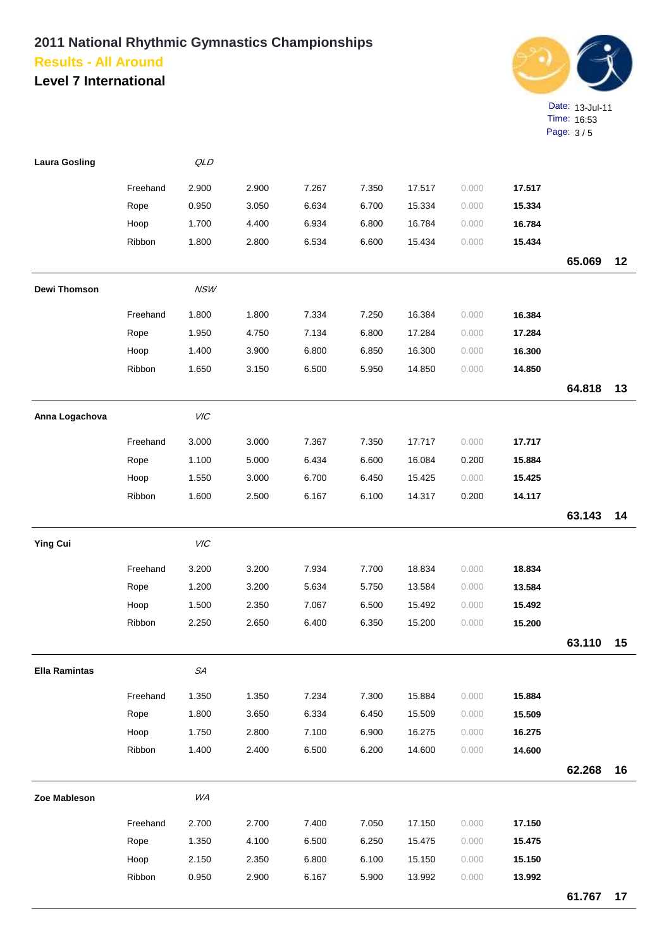

| <b>Laura Gosling</b> |          | QLD         |       |       |       |        |       |        |        |    |
|----------------------|----------|-------------|-------|-------|-------|--------|-------|--------|--------|----|
|                      | Freehand | 2.900       | 2.900 | 7.267 | 7.350 | 17.517 | 0.000 | 17.517 |        |    |
|                      | Rope     | 0.950       | 3.050 | 6.634 | 6.700 | 15.334 | 0.000 | 15.334 |        |    |
|                      | Hoop     | 1.700       | 4.400 | 6.934 | 6.800 | 16.784 | 0.000 | 16.784 |        |    |
|                      | Ribbon   | 1.800       | 2.800 | 6.534 | 6.600 | 15.434 | 0.000 | 15.434 |        |    |
|                      |          |             |       |       |       |        |       |        | 65.069 | 12 |
| Dewi Thomson         |          | <b>NSW</b>  |       |       |       |        |       |        |        |    |
|                      | Freehand | 1.800       | 1.800 | 7.334 | 7.250 | 16.384 | 0.000 | 16.384 |        |    |
|                      | Rope     | 1.950       | 4.750 | 7.134 | 6.800 | 17.284 | 0.000 | 17.284 |        |    |
|                      | Hoop     | 1.400       | 3.900 | 6.800 | 6.850 | 16.300 | 0.000 | 16.300 |        |    |
|                      | Ribbon   | 1.650       | 3.150 | 6.500 | 5.950 | 14.850 | 0.000 | 14.850 |        |    |
|                      |          |             |       |       |       |        |       |        | 64.818 | 13 |
| Anna Logachova       |          | VIC         |       |       |       |        |       |        |        |    |
|                      | Freehand | 3.000       | 3.000 | 7.367 | 7.350 | 17.717 | 0.000 | 17.717 |        |    |
|                      | Rope     | 1.100       | 5.000 | 6.434 | 6.600 | 16.084 | 0.200 | 15.884 |        |    |
|                      | Hoop     | 1.550       | 3.000 | 6.700 | 6.450 | 15.425 | 0.000 | 15.425 |        |    |
|                      | Ribbon   | 1.600       | 2.500 | 6.167 | 6.100 | 14.317 | 0.200 | 14.117 |        |    |
|                      |          |             |       |       |       |        |       |        | 63.143 | 14 |
| <b>Ying Cui</b>      |          | VIC         |       |       |       |        |       |        |        |    |
|                      | Freehand | 3.200       | 3.200 | 7.934 | 7.700 | 18.834 | 0.000 | 18.834 |        |    |
|                      | Rope     | 1.200       | 3.200 | 5.634 | 5.750 | 13.584 | 0.000 | 13.584 |        |    |
|                      | Hoop     | 1.500       | 2.350 | 7.067 | 6.500 | 15.492 | 0.000 | 15.492 |        |    |
|                      | Ribbon   | 2.250       | 2.650 | 6.400 | 6.350 | 15.200 | 0.000 | 15.200 |        |    |
|                      |          |             |       |       |       |        |       |        | 63.110 | 15 |
| <b>Ella Ramintas</b> |          | ${\cal SA}$ |       |       |       |        |       |        |        |    |
|                      | Freehand | 1.350       | 1.350 | 7.234 | 7.300 | 15.884 | 0.000 | 15.884 |        |    |
|                      | Rope     | 1.800       | 3.650 | 6.334 | 6.450 | 15.509 | 0.000 | 15.509 |        |    |
|                      | Hoop     | 1.750       | 2.800 | 7.100 | 6.900 | 16.275 | 0.000 | 16.275 |        |    |
|                      | Ribbon   | 1.400       | 2.400 | 6.500 | 6.200 | 14.600 | 0.000 | 14.600 |        |    |
|                      |          |             |       |       |       |        |       |        | 62.268 | 16 |
| Zoe Mableson         |          | WA          |       |       |       |        |       |        |        |    |
|                      | Freehand | 2.700       | 2.700 | 7.400 | 7.050 | 17.150 | 0.000 | 17.150 |        |    |
|                      | Rope     | 1.350       | 4.100 | 6.500 | 6.250 | 15.475 | 0.000 | 15.475 |        |    |
|                      | Hoop     | 2.150       | 2.350 | 6.800 | 6.100 | 15.150 | 0.000 | 15.150 |        |    |
|                      | Ribbon   | 0.950       | 2.900 | 6.167 | 5.900 | 13.992 | 0.000 | 13.992 |        |    |
|                      |          |             |       |       |       |        |       |        | 61.767 | 17 |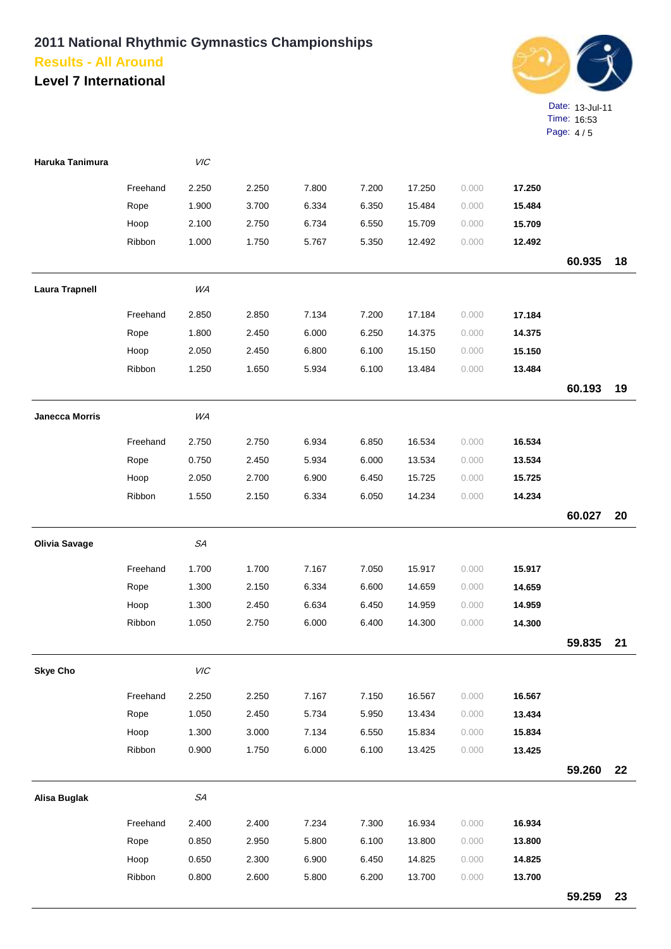

| Haruka Tanimura       |          | VIC       |       |       |       |        |       |        |        |    |
|-----------------------|----------|-----------|-------|-------|-------|--------|-------|--------|--------|----|
|                       | Freehand | 2.250     | 2.250 | 7.800 | 7.200 | 17.250 | 0.000 | 17.250 |        |    |
|                       | Rope     | 1.900     | 3.700 | 6.334 | 6.350 | 15.484 | 0.000 | 15.484 |        |    |
|                       | Hoop     | 2.100     | 2.750 | 6.734 | 6.550 | 15.709 | 0.000 | 15.709 |        |    |
|                       | Ribbon   | 1.000     | 1.750 | 5.767 | 5.350 | 12.492 | 0.000 | 12.492 |        |    |
|                       |          |           |       |       |       |        |       |        | 60.935 | 18 |
| <b>Laura Trapnell</b> |          | WA        |       |       |       |        |       |        |        |    |
|                       | Freehand | 2.850     | 2.850 | 7.134 | 7.200 | 17.184 | 0.000 | 17.184 |        |    |
|                       | Rope     | 1.800     | 2.450 | 6.000 | 6.250 | 14.375 | 0.000 | 14.375 |        |    |
|                       | Hoop     | 2.050     | 2.450 | 6.800 | 6.100 | 15.150 | 0.000 | 15.150 |        |    |
|                       | Ribbon   | 1.250     | 1.650 | 5.934 | 6.100 | 13.484 | 0.000 | 13.484 |        |    |
|                       |          |           |       |       |       |        |       |        | 60.193 | 19 |
| <b>Janecca Morris</b> |          | <b>WA</b> |       |       |       |        |       |        |        |    |
|                       | Freehand | 2.750     | 2.750 | 6.934 | 6.850 | 16.534 | 0.000 | 16.534 |        |    |
|                       | Rope     | 0.750     | 2.450 | 5.934 | 6.000 | 13.534 | 0.000 | 13.534 |        |    |
|                       | Hoop     | 2.050     | 2.700 | 6.900 | 6.450 | 15.725 | 0.000 | 15.725 |        |    |
|                       | Ribbon   | 1.550     | 2.150 | 6.334 | 6.050 | 14.234 | 0.000 | 14.234 |        |    |
|                       |          |           |       |       |       |        |       |        | 60.027 | 20 |
| <b>Olivia Savage</b>  |          | SA        |       |       |       |        |       |        |        |    |
|                       | Freehand | 1.700     | 1.700 | 7.167 | 7.050 | 15.917 | 0.000 | 15.917 |        |    |
|                       | Rope     | 1.300     | 2.150 | 6.334 | 6.600 | 14.659 | 0.000 | 14.659 |        |    |
|                       | Hoop     | 1.300     | 2.450 | 6.634 | 6.450 | 14.959 | 0.000 | 14.959 |        |    |
|                       | Ribbon   | 1.050     | 2.750 | 6.000 | 6.400 | 14.300 | 0.000 | 14.300 |        |    |
|                       |          |           |       |       |       |        |       |        | 59.835 | 21 |
| <b>Skye Cho</b>       |          | $V\!I\!C$ |       |       |       |        |       |        |        |    |
|                       | Freehand | 2.250     | 2.250 | 7.167 | 7.150 | 16.567 | 0.000 | 16.567 |        |    |
|                       | Rope     | 1.050     | 2.450 | 5.734 | 5.950 | 13.434 | 0.000 | 13.434 |        |    |
|                       | Hoop     | 1.300     | 3.000 | 7.134 | 6.550 | 15.834 | 0.000 | 15.834 |        |    |
|                       | Ribbon   | 0.900     | 1.750 | 6.000 | 6.100 | 13.425 | 0.000 | 13.425 |        |    |
|                       |          |           |       |       |       |        |       |        | 59.260 | 22 |
| <b>Alisa Buglak</b>   |          | SA        |       |       |       |        |       |        |        |    |
|                       | Freehand | 2.400     | 2.400 | 7.234 | 7.300 | 16.934 | 0.000 | 16.934 |        |    |
|                       | Rope     | 0.850     | 2.950 | 5.800 | 6.100 | 13.800 | 0.000 | 13.800 |        |    |
|                       | Hoop     | 0.650     | 2.300 | 6.900 | 6.450 | 14.825 | 0.000 | 14.825 |        |    |
|                       | Ribbon   | 0.800     | 2.600 | 5.800 | 6.200 | 13.700 | 0.000 | 13.700 |        |    |
|                       |          |           |       |       |       |        |       |        | 59.259 | 23 |